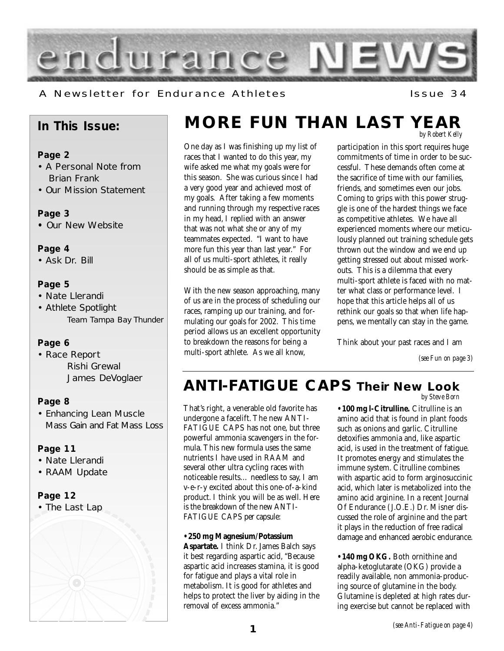

A Newsletter for Endurance Athletes The Muslem 194

#### **In This Issue:**

#### **Page 2**

- A Personal Note from Brian Frank
- Our Mission Statement

#### **Page 3**

**•** Our New Website

#### **Page 4**

• Ask Dr. Bill

#### **Page 5**

- Nate Llerandi
- Athlete Spotlight Team Tampa Bay Thunder

#### **Page 6**

• Race Report Rishi Grewal James DeVoglaer

#### **Page 8**

• Enhancing Lean Muscle Mass Gain and Fat Mass Loss

#### **Page 11**

- Nate Llerandi
- RAAM Update

#### **Page 12**

• The Last Lap



#### **MORE FUN THAN LAST YEAR** *by Robert Kelly*

One day as I was finishing up my list of races that I wanted to do this year, my wife asked me what my goals were for this season. She was curious since I had a very good year and achieved most of my goals. After taking a few moments and running through my respective races in my head, I replied with an answer that was not what she or any of my teammates expected. "I want to have more fun this year than last year." For all of us multi-sport athletes, it really should be as simple as that.

With the new season approaching, many of us are in the process of scheduling our races, ramping up our training, and formulating our goals for 2002. This time period allows us an excellent opportunity to breakdown the reasons for being a multi-sport athlete. As we all know,

participation in this sport requires huge commitments of time in order to be successful. These demands often come at the sacrifice of time with our families, friends, and sometimes even our jobs. Coming to grips with this power struggle is one of the hardest things we face as competitive athletes. We have all experienced moments where our meticulously planned out training schedule gets thrown out the window and we end up getting stressed out about missed workouts. This is a dilemma that every multi-sport athlete is faced with no matter what class or performance level. I hope that this article helps all of us rethink our goals so that when life happens, we mentally can stay in the game.

Think about your past races and I am

*(see Fun on page 3)*

## **ANTI-FATIGUE CAPS Their New Look**

That's right, a venerable old favorite has undergone a facelift. The new ANTI-FATIGUE CAPS has not one, but three powerful ammonia scavengers in the formula. This new formula uses the same nutrients I have used in RAAM and several other ultra cycling races with noticeable results… needless to say, I am v-e-r-y excited about this one-of-a-kind product. I think you will be as well. Here is the breakdown of the new ANTI-FATIGUE CAPS per capsule:

#### **• 250 mg Magnesium/Potassium**

**Aspartate.** I think Dr. James Balch says it best regarding aspartic acid, "Because aspartic acid increases stamina, it is good for fatigue and plays a vital role in metabolism. It is good for athletes and helps to protect the liver by aiding in the removal of excess ammonia."

*by Steve Born*

**• 100 mg l-Citrulline.** Citrulline is an amino acid that is found in plant foods such as onions and garlic. Citrulline detoxifies ammonia and, like aspartic acid, is used in the treatment of fatigue. It promotes energy and stimulates the immune system. Citrulline combines with aspartic acid to form arginosuccinic acid, which later is metabolized into the amino acid arginine. In a recent Journal Of Endurance ( J.O.E.) Dr. Misner discussed the role of arginine and the part it plays in the reduction of free radical damage and enhanced aerobic endurance.

**• 140 mg OKG.** Both ornithine and alpha-ketoglutarate (OKG) provide a readily available, non ammonia-producing source of glutamine in the body. Glutamine is depleted at high rates during exercise but cannot be replaced with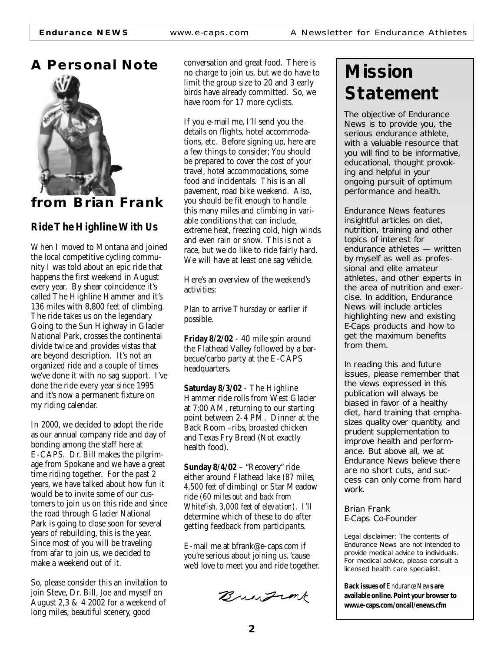**Endurance NEWS** www.e-caps.com A Newsletter for Endurance Athletes

**A Personal Note** 



**from Brian Frank**

#### **Ride The Highline With Us**

When I moved to Montana and joined the local competitive cycling community I was told about an epic ride that happens the first weekend in August every year. By shear coincidence it's called The Highline Hammer and it's 136 miles with 8,800 feet of climbing. The ride takes us on the legendary Going to the Sun Highway in Glacier National Park, crosses the continental divide twice and provides vistas that are beyond description. It's not an organized ride and a couple of times we've done it with no sag support. I've done the ride every year since 1995 and it's now a permanent fixture on my riding calendar.

In 2000, we decided to adopt the ride as our annual company ride and day of bonding among the staff here at E-CAPS. Dr. Bill makes the pilgrimage from Spokane and we have a great time riding together. For the past 2 years, we have talked about how fun it would be to invite some of our customers to join us on this ride and since the road through Glacier National Park is going to close soon for several years of rebuilding, this is the year. Since most of you will be traveling from afar to join us, we decided to make a weekend out of it.

So, please consider this an invitation to join Steve, Dr. Bill, Joe and myself on August 2,3 & 4 2002 for a weekend of long miles, beautiful scenery, good

conversation and great food. There is no charge to join us, but we do have to limit the group size to 20 and 3 early birds have already committed. So, we have room for 17 more cyclists.

If you e-mail me, I'll send you the details on flights, hotel accommodations, etc. Before signing up, here are a few things to consider; You should be prepared to cover the cost of your travel, hotel accommodations, some food and incidentals. This is an all pavement, road bike weekend. Also, you should be fit enough to handle this many miles and climbing in variable conditions that can include, extreme heat, freezing cold, high winds and even rain or snow. This is not a race, but we do like to ride fairly hard. We will have at least one sag vehicle.

Here's an overview of the weekend's activities:

Plan to arrive Thursday or earlier if possible.

**Friday 8/2/02** - 40 mile spin around the Flathead Valley followed by a barbecue/carbo party at the E-CAPS headquarters.

**Saturday 8/3/02** - The Highline Hammer ride rolls from West Glacier at 7:00 AM, returning to our starting point between 2-4 PM. Dinner at the Back Room –ribs, broasted chicken and Texas Fry Bread (Not exactly health food).

**Sunday 8/4/02** – "Recovery" ride either around Flathead lake *(87 miles, 4,500 feet of climbing)* or Star Meadow ride *(60 miles out and back from Whitefish, 3,000 feet of elevation)*. I'll determine which of these to do after getting feedback from participants.

E-mail me at bfrank@e-caps.com if you're serious about joining us, 'cause we'd love to meet you and ride together.

Bringink

# **Mission Statement**

The objective of Endurance News is to provide you, the serious endurance athlete, with a valuable resource that you will find to be informative, educational, thought provoking and helpful in your ongoing pursuit of optimum performance and health.

Endurance News features insightful articles on diet, nutrition, training and other topics of interest for endurance athletes — written by myself as well as professional and elite amateur athletes, and other experts in the area of nutrition and exercise. In addition, Endurance News will include articles highlighting new and existing E-Caps products and how to get the maximum benefits from them.

In reading this and future issues, please remember that the views expressed in this publication will always be biased in favor of a healthy diet, hard training that emphasizes quality over quantity, and prudent supplementation to improve health and performance. But above all, we at Endurance News believe there are no short cuts, and success can only come from hard work.

*Brian Frank E-Caps Co-Founder*

Legal disclaimer: The contents of Endurance News are not intended to provide medical advice to individuals. For medical advice, please consult a licensed health care specialist.

**Back issues of** *Endurance New***s are available online. Point your browser to www.e-caps.com/oncall/enews.cfm**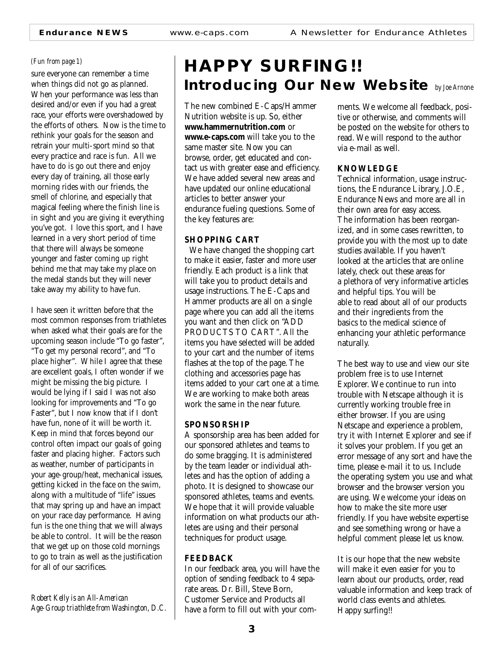#### *(Fun from page 1)*

sure everyone can remember a time when things did not go as planned. When your performance was less than desired and/or even if you had a great race, your efforts were overshadowed by the efforts of others. Now is the time to rethink your goals for the season and retrain your multi-sport mind so that every practice and race is fun. All we have to do is go out there and enjoy every day of training, all those early morning rides with our friends, the smell of chlorine, and especially that magical feeling where the finish line is in sight and you are giving it everything you've got. I love this sport, and I have learned in a very short period of time that there will always be someone younger and faster coming up right behind me that may take my place on the medal stands but they will never take away my ability to have fun.

I have seen it written before that the most common responses from triathletes when asked what their goals are for the upcoming season include "To go faster", "To get my personal record", and "To place higher". While I agree that these are excellent goals, I often wonder if we might be missing the big picture. I would be lying if I said I was not also looking for improvements and "To go Faster", but I now know that if I don't have fun, none of it will be worth it. Keep in mind that forces beyond our control often impact our goals of going faster and placing higher. Factors such as weather, number of participants in your age-group/heat, mechanical issues, getting kicked in the face on the swim, along with a multitude of "life" issues that may spring up and have an impact on your race day performance. Having fun is the one thing that we will always be able to control. It will be the reason that we get up on those cold mornings to go to train as well as the justification for all of our sacrifices.

*Robert Kelly is an All-American Age-Group triathlete from Washington, D.C.*

# **HAPPY SURFING!! Introducing Our New Website** *by Joe Arnone*

The new combined E-Caps/Hammer Nutrition website is up. So, either **www.hammernutrition.com** or **www.e-caps.com** will take you to the same master site. Now you can browse, order, get educated and contact us with greater ease and efficiency. We have added several new areas and have updated our online educational articles to better answer your endurance fueling questions. Some of the key features are:

#### **SHOPPING CART**

We have changed the shopping cart to make it easier, faster and more user friendly. Each product is a link that will take you to product details and usage instructions. The E-Caps and Hammer products are all on a single page where you can add all the items you want and then click on "ADD PRODUCTS TO CART". All the items you have selected will be added to your cart and the number of items flashes at the top of the page. The clothing and accessories page has items added to your cart one at a time. We are working to make both areas work the same in the near future.

#### **SPONSORSHIP**

A sponsorship area has been added for our sponsored athletes and teams to do some bragging. It is administered by the team leader or individual athletes and has the option of adding a photo. It is designed to showcase our sponsored athletes, teams and events. We hope that it will provide valuable information on what products our athletes are using and their personal techniques for product usage.

#### **FEEDBACK**

In our feedback area, you will have the option of sending feedback to 4 separate areas. Dr. Bill, Steve Born, Customer Service and Products all have a form to fill out with your com-

ments. We welcome all feedback, positive or otherwise, and comments will be posted on the website for others to read. We will respond to the author via e-mail as well.

#### **KNOWLEDGE**

Technical information, usage instructions, the Endurance Library, J.O.E, Endurance News and more are all in their own area for easy access. The information has been reorganized, and in some cases rewritten, to provide you with the most up to date studies available. If you haven't looked at the articles that are online lately, check out these areas for a plethora of very informative articles and helpful tips. You will be able to read about all of our products and their ingredients from the basics to the medical science of enhancing your athletic performance naturally.

The best way to use and view our site problem free is to use Internet Explorer. We continue to run into trouble with Netscape although it is currently working trouble free in either browser. If you are using Netscape and experience a problem, try it with Internet Explorer and see if it solves your problem. If you get an error message of any sort and have the time, please e-mail it to us. Include the operating system you use and what browser and the browser version you are using. We welcome your ideas on how to make the site more user friendly. If you have website expertise and see something wrong or have a helpful comment please let us know.

It is our hope that the new website will make it even easier for you to learn about our products, order, read valuable information and keep track of world class events and athletes. Happy surfing!!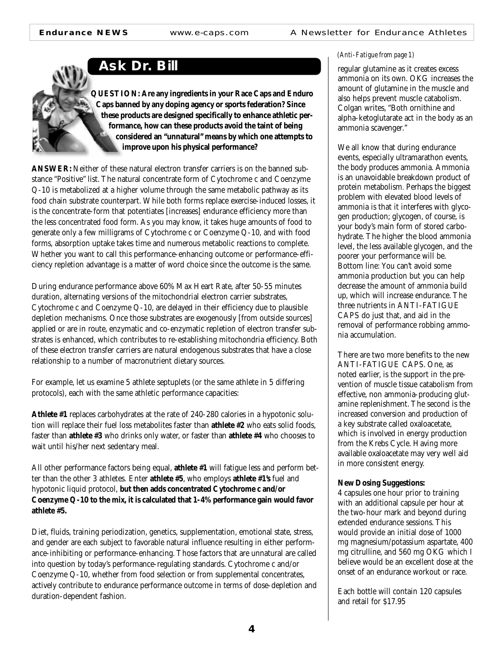**QUESTION: Are any ingredients in your Race Caps and Enduro Caps banned by any doping agency or sports federation? Since these products are designed specifically to enhance athletic performance, how can these products avoid the taint of being considered an "unnatural" means by which one attempts to improve upon his physical performance?**

**ANSWER:** Neither of these natural electron transfer carriers is on the banned substance "Positive" list. The natural concentrate form of Cytochrome c and Coenzyme Q-10 is metabolized at a higher volume through the same metabolic pathway as its food chain substrate counterpart. While both forms replace exercise-induced losses, it is the concentrate-form that potentiates [increases] endurance efficiency more than the less concentrated food form. As you may know, it takes huge amounts of food to generate only a few milligrams of Cytochrome c or Coenzyme Q-10, and with food forms, absorption uptake takes time and numerous metabolic reactions to complete. Whether you want to call this performance-enhancing outcome or performance-efficiency repletion advantage is a matter of word choice since the outcome is the same.

During endurance performance above 60% Max Heart Rate, after 50-55 minutes duration, alternating versions of the mitochondrial electron carrier substrates, Cytochrome c and Coenzyme Q-10, are delayed in their efficiency due to plausible depletion mechanisms. Once those substrates are exogenously [from outside sources] applied or are in route, enzymatic and co-enzymatic repletion of electron transfer substrates is enhanced, which contributes to re-establishing mitochondria efficiency. Both of these electron transfer carriers are natural endogenous substrates that have a close relationship to a number of macronutrient dietary sources.

For example, let us examine 5 athlete septuplets (or the same athlete in 5 differing protocols), each with the same athletic performance capacities:

**Athlete #1** replaces carbohydrates at the rate of 240-280 calories in a hypotonic solution will replace their fuel loss metabolites faster than **athlete #2** who eats solid foods, faster than **athlete #3** who drinks only water, or faster than **athlete #4** who chooses to wait until his/her next sedentary meal.

All other performance factors being equal, **athlete #1** will fatigue less and perform better than the other 3 athletes*.* Enter **athlete #5**, who employs **athlete #1's** fuel and hypotonic liquid protocol, **but then adds concentrated Cytochrome c and/or Coenzyme Q-10 to the mix, it is calculated that 1-4% performance gain would favor athlete #5.**

Diet, fluids, training periodization, genetics, supplementation, emotional state, stress, and gender are each subject to favorable natural influence resulting in either performance-inhibiting or performance-enhancing. Those factors that are unnatural are called into question by today's performance-regulating standards. Cytochrome c and/or Coenzyme Q-10, whether from food selection or from supplemental concentrates, actively contribute to endurance performance outcome in terms of dose-depletion and duration-dependent fashion.

#### *(Anti-Fatigue from page 1)*

**Ask Dr. Bill Regular glutamine as it creates excess** ammonia on its own. OKG increases the amount of glutamine in the muscle and also helps prevent muscle catabolism. Colgan writes, "Both ornithine and alpha-ketoglutarate act in the body as an ammonia scavenger."

> We all know that during endurance events, especially ultramarathon events, the body produces ammonia. Ammonia is an unavoidable breakdown product of protein metabolism. Perhaps the biggest problem with elevated blood levels of ammonia is that it interferes with glycogen production; glycogen, of course, is your body's main form of stored carbohydrate. The higher the blood ammonia level, the less available glycogen, and the poorer your performance will be. Bottom line: You can't avoid some ammonia production but you can help decrease the amount of ammonia build up, which will increase endurance. The three nutrients in ANTI-FATIGUE CAPS do just that, and aid in the removal of performance robbing ammonia accumulation.

> There are two more benefits to the new ANTI-FATIGUE CAPS. One, as noted earlier, is the support in the prevention of muscle tissue catabolism from effective, non ammonia-producing glutamine replenishment. The second is the increased conversion and production of a key substrate called oxaloacetate, which is involved in energy production from the Krebs Cycle. Having more available oxaloacetate may very well aid in more consistent energy.

#### **New Dosing Suggestions:**

4 capsules one hour prior to training with an additional capsule per hour at the two-hour mark and beyond during extended endurance sessions. This would provide an initial dose of 1000 mg magnesium/potassium aspartate, 400 mg citrulline, and 560 mg OKG which I believe would be an excellent dose at the onset of an endurance workout or race.

Each bottle will contain 120 capsules and retail for \$17.95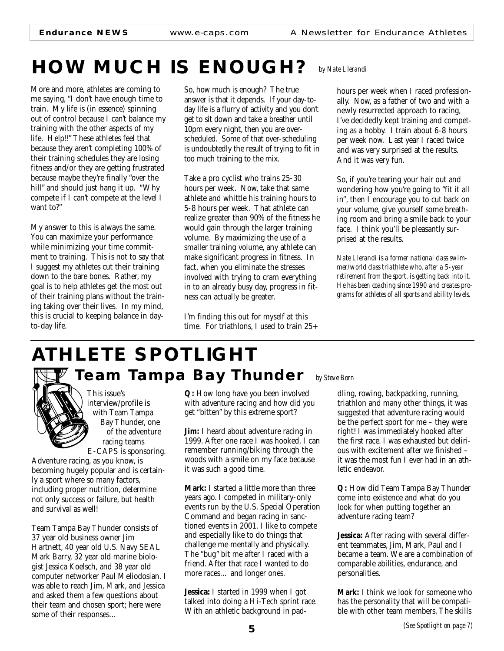# **HOW MUCH IS ENOUGH?** *by Nate Llerandi*

More and more, athletes are coming to me saying, "I don't have enough time to train. My life is (in essence) spinning out of control because I can't balance my training with the other aspects of my life. Help!!" These athletes feel that because they aren't completing 100% of their training schedules they are losing fitness and/or they are getting frustrated because maybe they're finally "over the hill" and should just hang it up. "Why compete if I can't compete at the level I want to?"

My answer to this is always the same. You can maximize your performance while minimizing your time commitment to training. This is not to say that I suggest my athletes cut their training down to the bare bones. Rather, my goal is to help athletes get the most out of their training plans without the training taking over their lives. In my mind, this is crucial to keeping balance in dayto-day life.

So, how much is enough? The true answer is that it depends. If your day-today life is a flurry of activity and you don't get to sit down and take a breather until 10pm every night, then you are overscheduled. Some of that over-scheduling is undoubtedly the result of trying to fit in too much training to the mix.

Take a pro cyclist who trains 25-30 hours per week. Now, take that same athlete and whittle his training hours to 5-8 hours per week. That athlete can realize greater than 90% of the fitness he would gain through the larger training volume. By maximizing the use of a smaller training volume, any athlete can make significant progress in fitness. In fact, when you eliminate the stresses involved with trying to cram everything in to an already busy day, progress in fitness can actually be greater.

I'm finding this out for myself at this time. For triathlons, I used to train 25+

#### hours per week when I raced professionally. Now, as a father of two and with a newly resurrected approach to racing, I've decidedly kept training and competing as a hobby. I train about 6-8 hours per week now. Last year I raced twice and was very surprised at the results. And it was very fun.

So, if you're tearing your hair out and wondering how you're going to "fit it all in", then I encourage you to cut back on your volume, give yourself some breathing room and bring a smile back to your face. I think you'll be pleasantly surprised at the results.

*Nate Llerandi is a former national class swimmer/world class triathlete who, after a 5-year retirement from the sport, is getting back into it. He has been coaching since 1990 and creates programs for athletes of all sports and ability levels.*

# **ATHLETE SPOTLIGHT Team Tampa Bay Thunder** *by Steve Born*



This issue's interview/profile is with Team Tampa Bay Thunder, one of the adventure racing teams E-CAPS is sponsoring.

Adventure racing, as you know, is becoming hugely popular and is certainly a sport where so many factors, including proper nutrition, determine not only success or failure, but health and survival as well!

Team Tampa Bay Thunder consists of 37 year old business owner Jim Hartnett, 40 year old U.S. Navy SEAL Mark Barry, 32 year old marine biologist Jessica Koelsch, and 38 year old computer networker Paul Meliodosian. I was able to reach Jim, Mark, and Jessica and asked them a few questions about their team and chosen sport; here were some of their responses…

**Q:** How long have you been involved with adventure racing and how did you get "bitten" by this extreme sport?

**Jim:** I heard about adventure racing in 1999. After one race I was hooked. I can remember running/biking through the woods with a smile on my face because it was such a good time.

**Mark:** I started a little more than three years ago. I competed in military-only events run by the U.S. Special Operation Command and began racing in sanctioned events in 2001. I like to compete and especially like to do things that challenge me mentally and physically. The "bug" bit me after I raced with a friend. After that race I wanted to do more races… and longer ones.

**Jessica:** I started in 1999 when I got talked into doing a Hi-Tech sprint race. With an athletic background in pad-

dling, rowing, backpacking, running, triathlon and many other things, it was suggested that adventure racing would be the perfect sport for me – they were right! I was immediately hooked after the first race. I was exhausted but delirious with excitement after we finished – it was the most fun I ever had in an athletic endeavor.

**Q:** How did Team Tampa Bay Thunder come into existence and what do you look for when putting together an adventure racing team?

**Jessica:** After racing with several different teammates, Jim, Mark, Paul and I became a team. We are a combination of comparable abilities, endurance, and personalities.

**Mark:** I think we look for someone who has the personality that will be compatible with other team members. The skills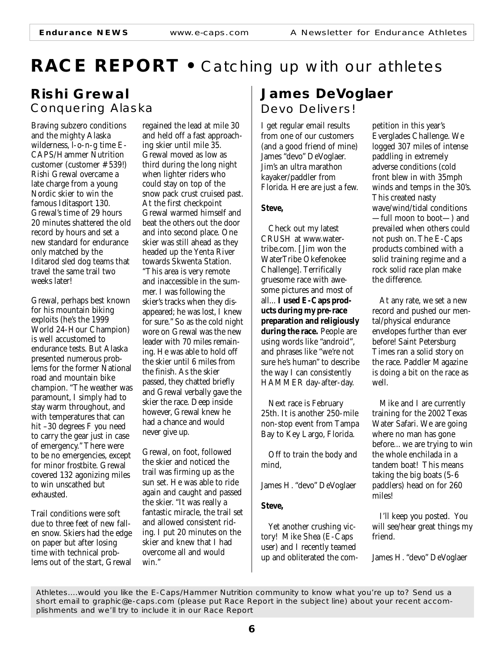# **RACE REPORT •** Catching up with our athletes

# Conquering Alaska Devo Delivers!

Braving subzero conditions and the mighty Alaska wilderness, l-o-n-g time E-CAPS/Hammer Nutrition customer (customer # 539!) Rishi Grewal overcame a late charge from a young Nordic skier to win the famous Iditasport 130. Grewal's time of 29 hours 20 minutes shattered the old record by hours and set a new standard for endurance only matched by the Iditarod sled dog teams that travel the same trail two weeks later!

Grewal, perhaps best known for his mountain biking exploits (he's the 1999 World 24-Hour Champion) is well accustomed to endurance tests. But Alaska presented numerous problems for the former National road and mountain bike champion. "The weather was paramount, I simply had to stay warm throughout, and with temperatures that can hit –30 degrees F you need to carry the gear just in case of emergency." There were to be no emergencies, except for minor frostbite. Grewal covered 132 agonizing miles to win unscathed but exhausted.

Trail conditions were soft due to three feet of new fallen snow. Skiers had the edge on paper but after losing time with technical problems out of the start, Grewal

regained the lead at mile 30 and held off a fast approaching skier until mile 35. Grewal moved as low as third during the long night when lighter riders who could stay on top of the snow pack crust cruised past. At the first checkpoint Grewal warmed himself and beat the others out the door and into second place. One skier was still ahead as they headed up the Yenta River towards Skwenta Station. "This area is very remote and inaccessible in the summer. I was following the skier's tracks when they disappeared; he was lost, I knew for sure." So as the cold night wore on Grewal was the new leader with 70 miles remaining. He was able to hold off the skier until 6 miles from the finish. As the skier passed, they chatted briefly and Grewal verbally gave the skier the race. Deep inside however, Grewal knew he had a chance and would never give up.

Grewal, on foot, followed the skier and noticed the trail was firming up as the sun set. He was able to ride again and caught and passed the skier. "It was really a fantastic miracle, the trail set and allowed consistent riding. I put 20 minutes on the skier and knew that I had overcome all and would win."

# **Rishi Grewal James DeVoglaer**

I get regular email results from one of our customers (and a good friend of mine) James "devo" DeVoglaer. Jim's an ultra marathon kayaker/paddler from Florida. Here are just a few.

#### **Steve,**

Check out my latest CRUSH at www.watertribe.com. [ Jim won the WaterTribe Okefenokee Challenge]. Terrifically gruesome race with awesome pictures and most of all... **I used E-Caps products during my pre-race preparation and religiously during the race.** People are using words like "android", and phrases like "we're not sure he's human" to describe the way I can consistently HAMMER day-after-day.

Next race is February 25th. It is another 250-mile non-stop event from Tampa Bay to Key Largo, Florida.

Off to train the body and mind,

James H. "devo" DeVoglaer

#### **Steve,**

Yet another crushing victory! Mike Shea (E-Caps user) and I recently teamed up and obliterated the com-

petition in this year's Everglades Challenge. We logged 307 miles of intense paddling in extremely adverse conditions (cold front blew in with 35mph winds and temps in the 30's. This created nasty wave/wind/tidal conditions —full moon to boot—) and prevailed when others could not push on. The E-Caps products combined with a solid training regime and a rock solid race plan make the difference.

At any rate, we set a new record and pushed our mental/physical endurance envelopes further than ever before! Saint Petersburg Times ran a solid story on the race. Paddler Magazine is doing a bit on the race as well.

Mike and I are currently training for the 2002 Texas Water Safari. We are going where no man has gone before... we are trying to win the whole enchilada in a tandem boat! This means taking the big boats (5-6 paddlers) head on for 260 miles!

I'll keep you posted. You will see/hear great things my friend.

James H. "devo" DeVoglaer

Athletes....would you like the E-Caps/Hammer Nutrition community to know what you're up to? Send us a short email to graphic@e-caps.com *(please put Race Report in the subject line)* about your recent accomplishments and we'll try to include it in our Race Report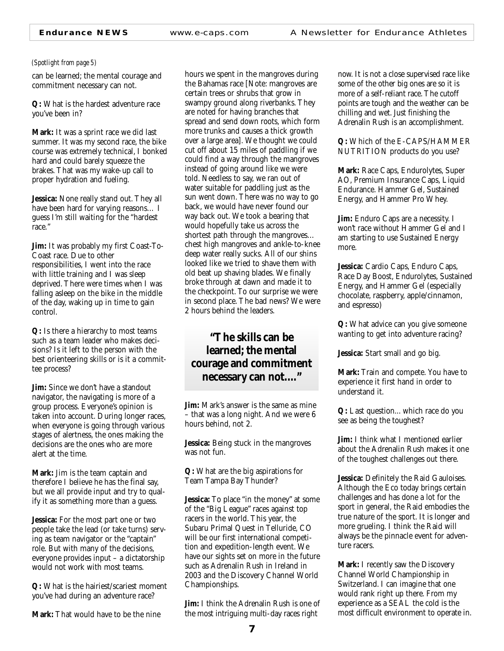#### *(Spotlight from page 5)*

can be learned; the mental courage and commitment necessary can not.

**Q:** What is the hardest adventure race you've been in?

**Mark:** It was a sprint race we did last summer. It was my second race, the bike course was extremely technical, I bonked hard and could barely squeeze the brakes. That was my wake-up call to proper hydration and fueling.

**Jessica:** None really stand out. They all have been hard for varying reasons… I guess I'm still waiting for the "hardest race."

**Jim:** It was probably my first Coast-To-Coast race. Due to other responsibilities, I went into the race with little training and I was sleep deprived. There were times when I was falling asleep on the bike in the middle of the day, waking up in time to gain control.

**Q:** Is there a hierarchy to most teams such as a team leader who makes decisions? Is it left to the person with the best orienteering skills or is it a committee process?

**Jim:** Since we don't have a standout navigator, the navigating is more of a group process. Everyone's opinion is taken into account. During longer races, when everyone is going through various stages of alertness, the ones making the decisions are the ones who are more alert at the time.

**Mark:** Jim is the team captain and therefore I believe he has the final say, but we all provide input and try to qualify it as something more than a guess.

**Jessica:** For the most part one or two people take the lead (or take turns) serving as team navigator or the "captain" role. But with many of the decisions, everyone provides input – a dictatorship would not work with most teams.

**Q:** What is the hairiest/scariest moment you've had during an adventure race?

**Mark:** That would have to be the nine

hours we spent in the mangroves during the Bahamas race [Note: mangroves are certain trees or shrubs that grow in swampy ground along riverbanks. They are noted for having branches that spread and send down roots, which form more trunks and causes a thick growth over a large area]. We thought we could cut off about 15 miles of paddling if we could find a way through the mangroves instead of going around like we were told. Needless to say, we ran out of water suitable for paddling just as the sun went down. There was no way to go back, we would have never found our way back out. We took a bearing that would hopefully take us across the shortest path through the mangroves… chest high mangroves and ankle-to-knee deep water really sucks. All of our shins looked like we tried to shave them with old beat up shaving blades. We finally broke through at dawn and made it to the checkpoint. To our surprise we were in second place. The bad news? We were 2 hours behind the leaders.

#### **"The skills can be learned; the mental courage and commitment necessary can not...."**

**Jim:** Mark's answer is the same as mine – that was a long night. And we were 6 hours behind, not 2.

**Jessica:** Being stuck in the mangroves was not fun.

**Q:** What are the big aspirations for Team Tampa Bay Thunder?

**Jessica:** To place "in the money" at some of the "Big League" races against top racers in the world. This year, the Subaru Primal Quest in Telluride, CO will be our first international competition and expedition-length event. We have our sights set on more in the future such as Adrenalin Rush in Ireland in 2003 and the Discovery Channel World Championships.

**Jim:** I think the Adrenalin Rush is one of the most intriguing multi-day races right

now. It is not a close supervised race like some of the other big ones are so it is more of a self-reliant race. The cutoff points are tough and the weather can be chilling and wet. Just finishing the Adrenalin Rush is an accomplishment.

**Q:** Which of the E-CAPS/HAMMER NUTRITION products do you use?

**Mark:** Race Caps, Endurolytes, Super AO, Premium Insurance Caps, Liquid Endurance. Hammer Gel, Sustained Energy, and Hammer Pro Whey.

**Jim:** Enduro Caps are a necessity. I won't race without Hammer Gel and I am starting to use Sustained Energy more.

**Jessica:** Cardio Caps, Enduro Caps, Race Day Boost, Endurolytes, Sustained Energy, and Hammer Gel (especially chocolate, raspberry, apple/cinnamon, and espresso)

**Q:** What advice can you give someone wanting to get into adventure racing?

**Jessica:** Start small and go big.

**Mark:** Train and compete. You have to experience it first hand in order to understand it.

**Q:** Last question... which race do you see as being the toughest?

**Jim:** I think what I mentioned earlier about the Adrenalin Rush makes it one of the toughest challenges out there.

**Jessica:** Definitely the Raid Gauloises. Although the Eco today brings certain challenges and has done a lot for the sport in general, the Raid embodies the true nature of the sport. It is longer and more grueling. I think the Raid will always be the pinnacle event for adventure racers.

**Mark:** I recently saw the Discovery Channel World Championship in Switzerland. I can imagine that one would rank right up there. From my experience as a SEAL the cold is the most difficult environment to operate in.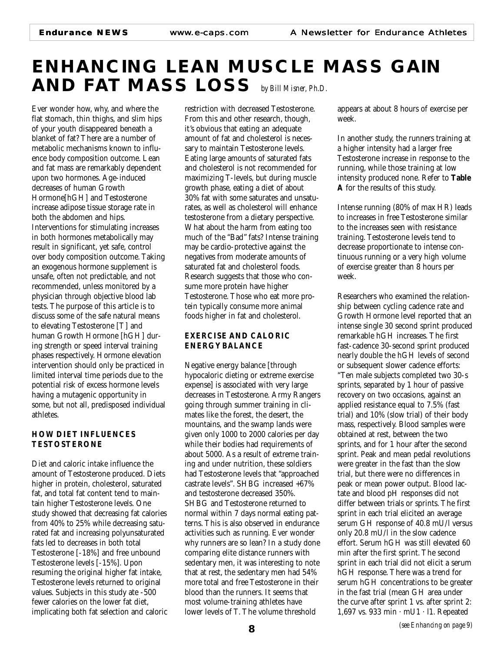# **ENHANCING LEAN MUSCLE MASS GAIN AND FAT MASS LOSS** *by Bill Misner, Ph.D.*

Ever wonder how, why, and where the flat stomach, thin thighs, and slim hips of your youth disappeared beneath a blanket of fat? There are a number of metabolic mechanisms known to influence body composition outcome. Lean and fat mass are remarkably dependent upon two hormones. Age-induced decreases of human Growth Hormone[hGH] and Testosterone increase adipose tissue storage rate in both the abdomen and hips. Interventions for stimulating increases in both hormones metabolically may result in significant, yet safe, control over body composition outcome. Taking an exogenous hormone supplement is unsafe, often not predictable, and not recommended, unless monitored by a physician through objective blood lab tests. The purpose of this article is to discuss some of the safe natural means to elevating Testosterone [T] and human Growth Hormone [hGH] during strength or speed interval training phases respectively. Hormone elevation intervention should only be practiced in limited interval time periods due to the potential risk of excess hormone levels having a mutagenic opportunity in some, but not all, predisposed individual athletes.

#### **HOW DIET INFLUENCES TESTOSTERONE**

Diet and caloric intake influence the amount of Testosterone produced. Diets higher in protein, cholesterol, saturated fat, and total fat content tend to maintain higher Testosterone levels. One study showed that decreasing fat calories from 40% to 25% while decreasing saturated fat and increasing polyunsaturated fats led to decreases in both total Testosterone [-18%] and free unbound Testosterone levels [-15%]. Upon resuming the original higher fat intake, Testosterone levels returned to original values. Subjects in this study ate -500 fewer calories on the lower fat diet, implicating both fat selection and caloric restriction with decreased Testosterone. From this and other research, though, it's obvious that eating an adequate amount of fat and cholesterol is necessary to maintain Testosterone levels. Eating large amounts of saturated fats and cholesterol is not recommended for maximizing T-levels, but during muscle growth phase, eating a diet of about 30% fat with some saturates and unsaturates, as well as cholesterol will enhance testosterone from a dietary perspective. What about the harm from eating too much of the "Bad" fats? Intense training may be cardio-protective against the negatives from moderate amounts of saturated fat and cholesterol foods. Research suggests that those who consume more protein have higher Testosterone. Those who eat more protein typically consume more animal foods higher in fat and cholesterol.

#### **EXERCISE AND CALORIC ENERGY BALANCE**

Negative energy balance [through hypocaloric dieting or extreme exercise expense] is associated with very large decreases in Testosterone. Army Rangers going through summer training in climates like the forest, the desert, the mountains, and the swamp lands were given only 1000 to 2000 calories per day while their bodies had requirements of about 5000. As a result of extreme training and under nutrition, these soldiers had Testosterone levels that "approached castrate levels". SHBG increased +67% and testosterone decreased 350%. SHBG and Testosterone returned to normal within 7 days normal eating patterns. This is also observed in endurance activities such as running. Ever wonder why runners are so lean? In a study done comparing elite distance runners with sedentary men, it was interesting to note that at rest, the sedentary men had 54% more total and free Testosterone in their blood than the runners. It seems that most volume-training athletes have lower levels of T. The volume threshold

appears at about 8 hours of exercise per week.

In another study, the runners training at a higher intensity had a larger free Testosterone increase in response to the running, while those training at low intensity produced none. Refer to **Table A** for the results of this study.

Intense running (80% of max HR) leads to increases in free Testosterone similar to the increases seen with resistance training. Testosterone levels tend to decrease proportionate to intense continuous running or a very high volume of exercise greater than 8 hours per week.

Researchers who examined the relationship between cycling cadence rate and Growth Hormone level reported that an intense single 30 second sprint produced remarkable hGH increases. The first fast-cadence 30-second sprint produced nearly double the hGH levels of second or subsequent slower cadence efforts: "Ten male subjects completed two 30-s sprints, separated by 1 hour of passive recovery on two occasions, against an applied resistance equal to 7.5% (fast trial) and 10% (slow trial) of their body mass, respectively. Blood samples were obtained at rest, between the two sprints, and for 1 hour after the second sprint. Peak and mean pedal revolutions were greater in the fast than the slow trial, but there were no differences in peak or mean power output. Blood lactate and blood pH responses did not differ between trials or sprints. The first sprint in each trial elicited an average serum GH response of 40.8 mU/l versus only 20.8 mU/l in the slow cadence effort. Serum hGH was still elevated 60 min after the first sprint. The second sprint in each trial did not elicit a serum hGH response. There was a trend for serum hGH concentrations to be greater in the fast trial (mean GH area under the curve after sprint 1 vs. after sprint 2: 1,697 vs. 933 min · mU1 · l1. Repeated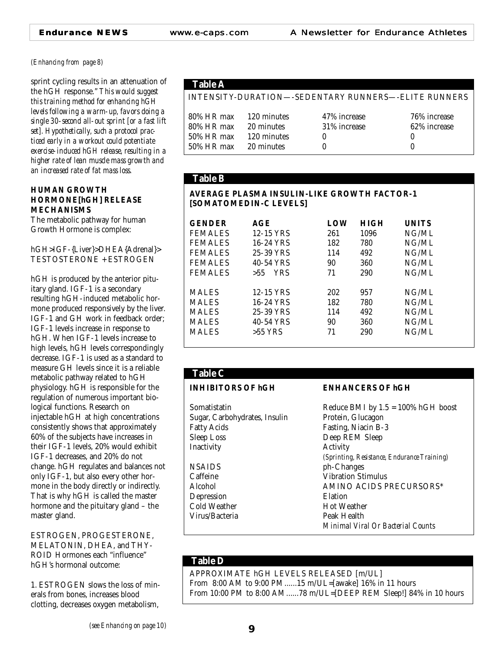#### *(Enhancing from page 8)*

sprint cycling results in an attenuation of the hGH response." *This would suggest this training method for enhancing hGH levels following a warm-up, favors doing a single 30-second all-out sprint [or a fast lift set]. Hypothetically, such a protocol practiced early in a workout could potentiate exercise-induced hGH release, resulting in a higher rate of lean muscle mass growth and an increased rate of fat mass loss.*

#### **HUMAN GROWTH HORMONE[hGH] RELEASE MECHANISMS**

The metabolic pathway for human Growth Hormone is complex:

#### hGH>IGF-{Liver}>DHEA{Adrenal}> TESTOSTERONE + ESTROGEN

hGH is produced by the anterior pituitary gland. IGF-1 is a secondary resulting hGH-induced metabolic hormone produced responsively by the liver. IGF-1 and GH work in feedback order; IGF-1 levels increase in response to hGH. When IGF-1 levels increase to high levels, hGH levels correspondingly decrease. IGF-1 is used as a standard to measure GH levels since it is a reliable metabolic pathway related to hGH physiology. hGH is responsible for the regulation of numerous important biological functions. Research on injectable hGH at high concentrations consistently shows that approximately 60% of the subjects have increases in their IGF-1 levels, 20% would exhibit IGF-1 decreases, and 20% do not change. hGH regulates and balances not only IGF-1, but also every other hormone in the body directly or indirectly. That is why hGH is called the master hormone and the pituitary gland – the master gland.

ESTROGEN, PROGESTERONE, MELATONIN, DHEA, and THY-ROID Hormones each "influence" hGH's hormonal outcome:

1. ESTROGEN slows the loss of minerals from bones, increases blood clotting, decreases oxygen metabolism,

| <b>Table A</b>                                       |                           |                              |                              |  |  |  |  |
|------------------------------------------------------|---------------------------|------------------------------|------------------------------|--|--|--|--|
| INTENSITY-DURATION—-SEDENTARY RUNNERS—-ELITE RUNNERS |                           |                              |                              |  |  |  |  |
| 80% HR max<br>80% HR max                             | 120 minutes<br>20 minutes | 47% increase<br>31% increase | 76% increase<br>62% increase |  |  |  |  |
| 50% HR max<br>50% HR max                             | 120 minutes<br>20 minutes |                              |                              |  |  |  |  |

#### **Table B**

#### **AVERAGE PLASMA INSULIN-LIKE GROWTH FACTOR-1 [SOMATOMEDIN-C LEVELS]**

| <b>GENDER</b><br><b>FEMALES</b><br><b>FEMALES</b><br><b>FEMALES</b><br><b>FEMALES</b><br><b>FEMALES</b> | AGE<br>12-15 YRS<br>16-24 YRS<br>25-39 YRS<br>40-54 YRS<br>YRS<br>> 55 | <b>LOW</b><br>261<br>182<br>114<br>90<br>71 | <b>HIGH</b><br>1096<br>780<br>492<br>360<br>290 | <b>UNITS</b><br>NG/ML<br>NG/ML<br>NG/ML<br>NG/ML<br>NG/ML |
|---------------------------------------------------------------------------------------------------------|------------------------------------------------------------------------|---------------------------------------------|-------------------------------------------------|-----------------------------------------------------------|
| <b>MALES</b>                                                                                            | 12-15 YRS                                                              | 202                                         | 957                                             | NG/ML                                                     |
| <b>MALES</b>                                                                                            | 16-24 YRS                                                              | 182                                         | 780                                             | NG/ML                                                     |
| <b>MALES</b>                                                                                            | 25-39 YRS                                                              | 114                                         | 492                                             | NG/ML                                                     |
| <b>MALES</b>                                                                                            | 40-54 YRS                                                              | 90                                          | 360                                             | NG/ML                                                     |
| <b>MALES</b>                                                                                            | $>55$ YRS                                                              | 71                                          | 290                                             | NG/ML                                                     |

#### **Table C**

#### **INHIBITORS OF hGH ENHANCERS OF hGH**

| Somatistatin                  | Reduce BMI by $1.5 = 100\%$ hGH boost              |
|-------------------------------|----------------------------------------------------|
| Sugar, Carbohydrates, Insulin | Protein, Glucagon                                  |
| <b>Fatty Acids</b>            | Fasting, Niacin B-3                                |
| <b>Sleep Loss</b>             | Deep REM Sleep                                     |
| Inactivity                    | Activity                                           |
|                               | <i>(Sprinting, Resistance, Endurance Training)</i> |
| <b>NSAIDS</b>                 | ph-Changes                                         |
| Caffeine                      | <b>Vibration Stimulus</b>                          |
| Alcohol                       | AMINO ACIDS PRECURSORS*                            |
| Depression                    | <b>Elation</b>                                     |
| <b>Cold Weather</b>           | <b>Hot Weather</b>                                 |
| Virus/Bacteria                | Peak Health                                        |
|                               | Minimal Viral Or Bacterial Counts                  |
|                               |                                                    |

#### **Table D**

APPROXIMATE hGH LEVELS RELEASED [m/UL] From 8:00 AM to 9:00 PM......15 m/UL=[awake] 16% in 11 hours From 10:00 PM to 8:00 AM......78 m/UL=[DEEP REM Sleep!] 84% in 10 hours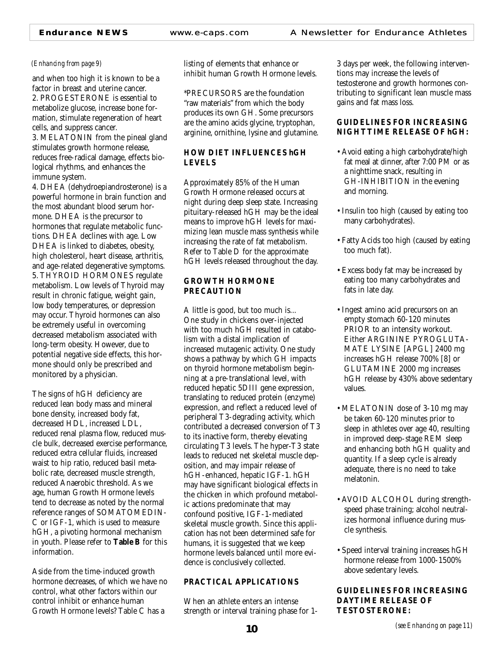#### *(Enhancing from page 9)*

and when too high it is known to be a factor in breast and uterine cancer. 2. PROGESTERONE is essential to metabolize glucose, increase bone formation, stimulate regeneration of heart cells, and suppress cancer.

3. MELATONIN from the pineal gland stimulates growth hormone release, reduces free-radical damage, effects biological rhythms, and enhances the immune system.

4. DHEA (dehydroepiandrosterone) is a powerful hormone in brain function and the most abundant blood serum hormone. DHEA is the precursor to hormones that regulate metabolic functions. DHEA declines with age. Low DHEA is linked to diabetes, obesity, high cholesterol, heart disease, arthritis, and age-related degenerative symptoms. 5. THYROID HORMONES regulate metabolism. Low levels of Thyroid may result in chronic fatigue, weight gain, low body temperatures, or depression may occur. Thyroid hormones can also be extremely useful in overcoming decreased metabolism associated with long-term obesity. However, due to potential negative side effects, this hormone should only be prescribed and monitored by a physician.

The signs of hGH deficiency are reduced lean body mass and mineral bone density, increased body fat, decreased HDL, increased LDL, reduced renal plasma flow, reduced muscle bulk, decreased exercise performance, reduced extra cellular fluids, increased waist to hip ratio, reduced basil metabolic rate, decreased muscle strength, reduced Anaerobic threshold. As we age, human Growth Hormone levels tend to decrease as noted by the normal reference ranges of SOMATOMEDIN-C or IGF-1, which is used to measure hGH, a pivoting hormonal mechanism in youth. Please refer to **Table B** for this information.

Aside from the time-induced growth hormone decreases, of which we have no control, what other factors within our control inhibit or enhance human Growth Hormone levels? Table C has a

listing of elements that enhance or inhibit human Growth Hormone levels.

\*PRECURSORS are the foundation "raw materials" from which the body produces its own GH. Some precursors are the amino acids glycine, tryptophan, arginine, ornithine, lysine and glutamine.

#### **HOW DIET INFLUENCES hGH LEVELS**

Approximately 85% of the Human Growth Hormone released occurs at night during deep sleep state. Increasing pituitary-released hGH may be the ideal means to improve hGH levels for maximizing lean muscle mass synthesis while increasing the rate of fat metabolism. Refer to Table D for the approximate hGH levels released throughout the day.

#### **GROWTH HORMONE PRECAUTION**

A little is good, but too much is... One study in chickens over-injected with too much hGH resulted in catabolism with a distal implication of increased mutagenic activity. One study shows a pathway by which GH impacts on thyroid hormone metabolism beginning at a pre-translational level, with reduced hepatic 5DIII gene expression, translating to reduced protein (enzyme) expression, and reflect a reduced level of peripheral T3-degrading activity, which contributed a decreased conversion of T3 to its inactive form, thereby elevating circulating T3 levels. The hyper-T3 state leads to reduced net skeletal muscle deposition, and may impair release of hGH-enhanced, hepatic IGF-1. hGH may have significant biological effects in the chicken in which profound metabolic actions predominate that may confound positive, IGF-1-mediated skeletal muscle growth. Since this application has not been determined safe for humans, it is suggested that we keep hormone levels balanced until more evidence is conclusively collected.

#### **PRACTICAL APPLICATIONS**

When an athlete enters an intense strength or interval training phase for 13 days per week, the following interventions may increase the levels of testosterone and growth hormones contributing to significant lean muscle mass gains and fat mass loss.

#### **GUIDELINES FOR INCREASING NIGHTTIME RELEASE OF hGH:**

- Avoid eating a high carbohydrate/high fat meal at dinner, after 7:00 PM or as a nighttime snack, resulting in GH-INHIBITION in the evening and morning.
- Insulin too high (caused by eating too many carbohydrates).
- Fatty Acids too high (caused by eating too much fat).
- Excess body fat may be increased by eating too many carbohydrates and fats in late day.
- Ingest amino acid precursors on an empty stomach 60-120 minutes PRIOR to an intensity workout. Either ARGININE PYROGLUTA-MATE LYSINE [APGL] 2400 mg increases hGH release 700% [8] or GLUTAMINE 2000 mg increases hGH release by 430% above sedentary values.
- MELATONIN dose of 3-10 mg may be taken 60-120 minutes prior to sleep in athletes over age 40, resulting in improved deep-stage REM sleep and enhancing both hGH quality and quantity. If a sleep cycle is already adequate, there is no need to take melatonin.
- AVOID ALCOHOL during strengthspeed phase training; alcohol neutralizes hormonal influence during muscle synthesis.
- Speed interval training increases hGH hormone release from 1000-1500% above sedentary levels.

#### **GUIDELINES FOR INCREASING DAYTIME RELEASE OF TESTOSTERONE:**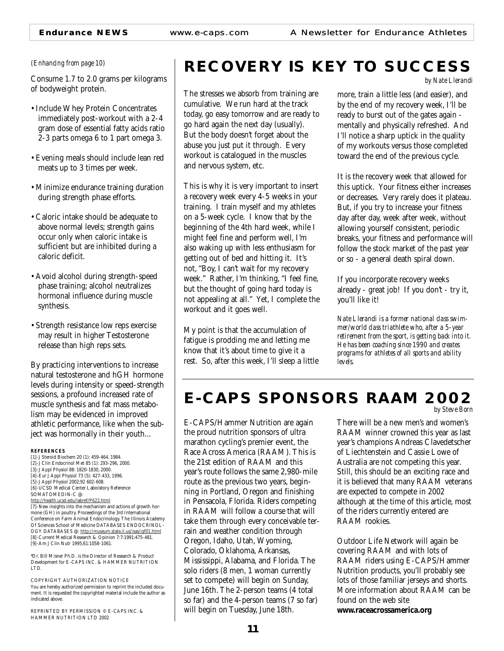#### *(Enhancing from page 10)*

Consume 1.7 to 2.0 grams per kilograms of bodyweight protein.

- Include Whey Protein Concentrates immediately post-workout with a 2-4 gram dose of essential fatty acids ratio 2-3 parts omega 6 to 1 part omega 3.
- Evening meals should include lean red meats up to 3 times per week.
- Minimize endurance training duration during strength phase efforts.
- Caloric intake should be adequate to above normal levels; strength gains occur only when caloric intake is sufficient but are inhibited during a caloric deficit.
- Avoid alcohol during strength-speed phase training; alcohol neutralizes hormonal influence during muscle synthesis.
- Strength resistance low reps exercise may result in higher Testosterone release than high reps sets.

By practicing interventions to increase natural testosterone and hGH hormone levels during intensity or speed-strength sessions, a profound increased rate of muscle synthesis and fat mass metabolism may be evidenced in improved athletic performance, like when the subject was hormonally in their youth...

#### **REFERENCES**

[1]-J Steroid Biochem 20 (1): 459-464, 1984. [2]-J Clin Endocrinol Met 85 (1): 293-296, 2000. [3]-J Appl Physiol 88: 1820-1830, 2000. [4]-Eur J Appl Physiol 73 (5): 427-433, 1996. [5]-J Appl Physiol 2002;92 602-608. [6]-UCSD Medical Center Laboratory Reference SOMATOMEDIN-C @: http://health.ucsd.edu/labref/P622.html [7]-New insights into the mechanism and actions of growth hormone (GH) in poultry. Proceedings of the 3rd International Conference on Farm Animal Endocrinology. The Illinois Academy Of Sciences School of Medicine DATABASES ENDOCRINOL-OGY DATABASES @: http://museum.state.il.us/isas/igf01.html [8]-Current Medical Research & Opinion 7:7:1991:475-481. [9]-Am J Clin Nutr 1995;61:1058-1061.

\*Dr. Bill Misner Ph.D. is the Director of Research & Product Development for E-CAPS INC. & HAMMER NUTRITION LTD.

COPYRIGHT AUTHORIZATION NOTICE You are hereby authorized permission to reprint the included document. It is requested the copyrighted material include the author as indicated above.

REPRINTED BY PERMISSION © E-CAPS INC. & HAMMER NUTRITION LTD 2002

## **RECOVERY IS KEY TO SUCCESS**

The stresses we absorb from training are cumulative. We run hard at the track today, go easy tomorrow and are ready to go hard again the next day (usually). But the body doesn't forget about the abuse you just put it through. Every workout is catalogued in the muscles and nervous system, etc.

This is why it is very important to insert a recovery week every 4-5 weeks in your training. I train myself and my athletes on a 5-week cycle. I know that by the beginning of the 4th hard week, while I might feel fine and perform well, I'm also waking up with less enthusiasm for getting out of bed and hitting it. It's not, "Boy, I can't wait for my recovery week." Rather, I'm thinking, "I feel fine, but the thought of going hard today is not appealing at all." Yet, I complete the workout and it goes well.

My point is that the accumulation of fatigue is prodding me and letting me know that it's about time to give it a rest. So, after this week, I'll sleep a little more, train a little less (and easier), and by the end of my recovery week, I'll be ready to burst out of the gates again mentally and physically refreshed. And I'll notice a sharp uptick in the quality of my workouts versus those completed toward the end of the previous cycle.

*by Nate Llerandi*

It is the recovery week that allowed for this uptick. Your fitness either increases or decreases. Very rarely does it plateau. But, if you try to increase your fitness day after day, week after week, without allowing yourself consistent, periodic breaks, your fitness and performance will follow the stock market of the past year or so - a general death spiral down.

If you incorporate recovery weeks already - great job! If you don't - try it, you'll like it!

*Nate Llerandi is a former national class swimmer/world class triathlete who, after a 5-year retirement from the sport, is getting back into it. He has been coaching since 1990 and creates programs for athletes of all sports and ability levels.*

### **E-CAPS SPONSORS RAAM 2002**

E-CAPS/Hammer Nutrition are again the proud nutrition sponsors of ultra marathon cycling's premier event, the Race Across America (RAAM). This is the 21st edition of RAAM and this year's route follows the same 2,980-mile route as the previous two years, beginning in Portland, Oregon and finishing in Pensacola, Florida. Riders competing in RAAM will follow a course that will take them through every conceivable terrain and weather condition through Oregon, Idaho, Utah, Wyoming, Colorado, Oklahoma, Arkansas, Mississippi, Alabama, and Florida. The solo riders (8 men, 1 woman currently set to compete) will begin on Sunday, June 16th. The 2-person teams (4 total so far) and the 4-person teams (7 so far) will begin on Tuesday, June 18th.

*by Steve Born*

There will be a new men's and women's RAAM winner crowned this year as last year's champions Andreas Clavedetscher of Liechtenstein and Cassie Lowe of Australia are not competing this year. Still, this should be an exciting race and it is believed that many RAAM veterans are expected to compete in 2002 although at the time of this article, most of the riders currently entered are RAAM rookies.

Outdoor Life Network will again be covering RAAM and with lots of RAAM riders using E-CAPS/Hammer Nutrition products, you'll probably see lots of those familiar jerseys and shorts. More information about RAAM can be found on the web site **www.raceacrossamerica.org**